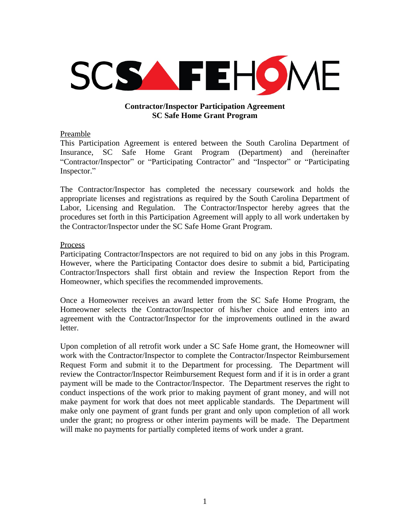

## **Contractor/Inspector Participation Agreement SC Safe Home Grant Program**

# Preamble

This Participation Agreement is entered between the South Carolina Department of Insurance, SC Safe Home Grant Program (Department) and (hereinafter "Contractor/Inspector" or "Participating Contractor" and "Inspector" or "Participating Inspector."

The Contractor/Inspector has completed the necessary coursework and holds the appropriate licenses and registrations as required by the South Carolina Department of Labor, Licensing and Regulation. The Contractor/Inspector hereby agrees that the procedures set forth in this Participation Agreement will apply to all work undertaken by the Contractor/Inspector under the SC Safe Home Grant Program.

### **Process**

Participating Contractor/Inspectors are not required to bid on any jobs in this Program. However, where the Participating Contactor does desire to submit a bid, Participating Contractor/Inspectors shall first obtain and review the Inspection Report from the Homeowner, which specifies the recommended improvements.

Once a Homeowner receives an award letter from the SC Safe Home Program, the Homeowner selects the Contractor/Inspector of his/her choice and enters into an agreement with the Contractor/Inspector for the improvements outlined in the award letter.

Upon completion of all retrofit work under a SC Safe Home grant, the Homeowner will work with the Contractor/Inspector to complete the Contractor/Inspector Reimbursement Request Form and submit it to the Department for processing. The Department will review the Contractor/Inspector Reimbursement Request form and if it is in order a grant payment will be made to the Contractor/Inspector. The Department reserves the right to conduct inspections of the work prior to making payment of grant money, and will not make payment for work that does not meet applicable standards. The Department will make only one payment of grant funds per grant and only upon completion of all work under the grant; no progress or other interim payments will be made. The Department will make no payments for partially completed items of work under a grant.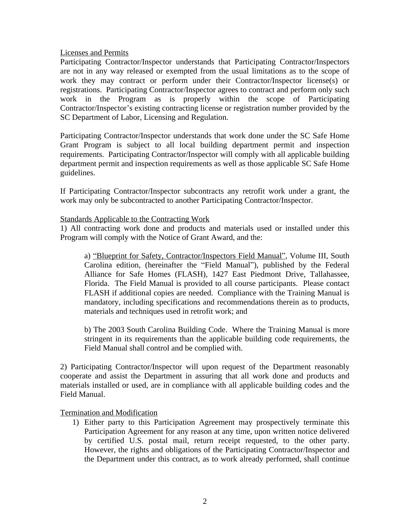Licenses and Permits

Participating Contractor/Inspector understands that Participating Contractor/Inspectors are not in any way released or exempted from the usual limitations as to the scope of work they may contract or perform under their Contractor/Inspector license(s) or registrations. Participating Contractor/Inspector agrees to contract and perform only such work in the Program as is properly within the scope of Participating Contractor/Inspector's existing contracting license or registration number provided by the SC Department of Labor, Licensing and Regulation.

Participating Contractor/Inspector understands that work done under the SC Safe Home Grant Program is subject to all local building department permit and inspection requirements. Participating Contractor/Inspector will comply with all applicable building department permit and inspection requirements as well as those applicable SC Safe Home guidelines.

If Participating Contractor/Inspector subcontracts any retrofit work under a grant, the work may only be subcontracted to another Participating Contractor/Inspector.

### Standards Applicable to the Contracting Work

1) All contracting work done and products and materials used or installed under this Program will comply with the Notice of Grant Award, and the:

a) "Blueprint for Safety, Contractor/Inspectors Field Manual", Volume III, South Carolina edition, (hereinafter the "Field Manual"), published by the Federal Alliance for Safe Homes (FLASH), 1427 East Piedmont Drive, Tallahassee, Florida. The Field Manual is provided to all course participants. Please contact FLASH if additional copies are needed. Compliance with the Training Manual is mandatory, including specifications and recommendations therein as to products, materials and techniques used in retrofit work; and

b) The 2003 South Carolina Building Code. Where the Training Manual is more stringent in its requirements than the applicable building code requirements, the Field Manual shall control and be complied with.

2) Participating Contractor/Inspector will upon request of the Department reasonably cooperate and assist the Department in assuring that all work done and products and materials installed or used, are in compliance with all applicable building codes and the Field Manual.

Termination and Modification

1) Either party to this Participation Agreement may prospectively terminate this Participation Agreement for any reason at any time, upon written notice delivered by certified U.S. postal mail, return receipt requested, to the other party. However, the rights and obligations of the Participating Contractor/Inspector and the Department under this contract, as to work already performed, shall continue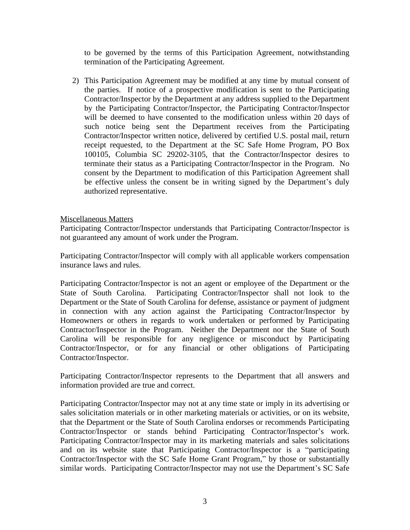to be governed by the terms of this Participation Agreement, notwithstanding termination of the Participating Agreement.

2) This Participation Agreement may be modified at any time by mutual consent of the parties. If notice of a prospective modification is sent to the Participating Contractor/Inspector by the Department at any address supplied to the Department by the Participating Contractor/Inspector, the Participating Contractor/Inspector will be deemed to have consented to the modification unless within 20 days of such notice being sent the Department receives from the Participating Contractor/Inspector written notice, delivered by certified U.S. postal mail, return receipt requested, to the Department at the SC Safe Home Program, PO Box 100105, Columbia SC 29202-3105, that the Contractor/Inspector desires to terminate their status as a Participating Contractor/Inspector in the Program. No consent by the Department to modification of this Participation Agreement shall be effective unless the consent be in writing signed by the Department's duly authorized representative.

# Miscellaneous Matters

Participating Contractor/Inspector understands that Participating Contractor/Inspector is not guaranteed any amount of work under the Program.

Participating Contractor/Inspector will comply with all applicable workers compensation insurance laws and rules.

Participating Contractor/Inspector is not an agent or employee of the Department or the State of South Carolina. Participating Contractor/Inspector shall not look to the Department or the State of South Carolina for defense, assistance or payment of judgment in connection with any action against the Participating Contractor/Inspector by Homeowners or others in regards to work undertaken or performed by Participating Contractor/Inspector in the Program. Neither the Department nor the State of South Carolina will be responsible for any negligence or misconduct by Participating Contractor/Inspector, or for any financial or other obligations of Participating Contractor/Inspector.

Participating Contractor/Inspector represents to the Department that all answers and information provided are true and correct.

Participating Contractor/Inspector may not at any time state or imply in its advertising or sales solicitation materials or in other marketing materials or activities, or on its website, that the Department or the State of South Carolina endorses or recommends Participating Contractor/Inspector or stands behind Participating Contractor/Inspector's work. Participating Contractor/Inspector may in its marketing materials and sales solicitations and on its website state that Participating Contractor/Inspector is a "participating Contractor/Inspector with the SC Safe Home Grant Program," by those or substantially similar words. Participating Contractor/Inspector may not use the Department's SC Safe